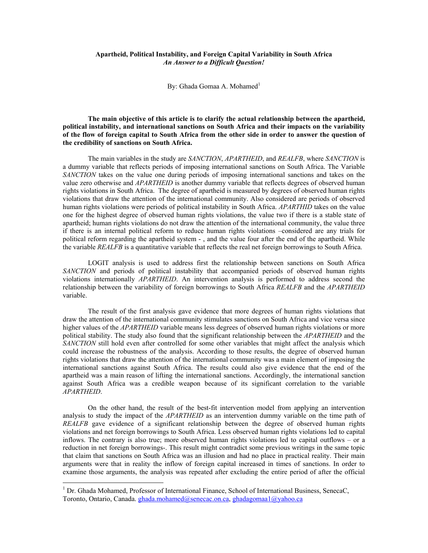## **Apartheid, Political Instability, and Foreign Capital Variability in South Africa**  *An Answer to a Difficult Question!*

By: Ghada Gomaa A. Mohamed<sup>1</sup>

**The main objective of this article is to clarify the actual relationship between the apartheid, political instability, and international sanctions on South Africa and their impacts on the variability of the flow of foreign capital to South Africa from the other side in order to answer the question of the credibility of sanctions on South Africa.** 

The main variables in the study are *SANCTION*, *APARTHEID*, and *REALFB*, where *SANCTION* is a dummy variable that reflects periods of imposing international sanctions on South Africa. The Variable *SANCTION* takes on the value one during periods of imposing international sanctions and takes on the value zero otherwise and *APARTHEID* is another dummy variable that reflects degrees of observed human rights violations in South Africa. The degree of apartheid is measured by degrees of observed human rights violations that draw the attention of the international community. Also considered are periods of observed human rights violations were periods of political instability in South Africa. *APARTHID* takes on the value one for the highest degree of observed human rights violations, the value two if there is a stable state of apartheid; human rights violations do not draw the attention of the international community, the value three if there is an internal political reform to reduce human rights violations –considered are any trials for political reform regarding the apartheid system - , and the value four after the end of the apartheid. While the variable *REALFB* is a quantitative variable that reflects the real net foreign borrowings to South Africa.

LOGIT analysis is used to address first the relationship between sanctions on South Africa *SANCTION* and periods of political instability that accompanied periods of observed human rights violations internationally *APARTHEID*. An intervention analysis is performed to address second the relationship between the variability of foreign borrowings to South Africa *REALFB* and the *APARTHEID*  variable.

The result of the first analysis gave evidence that more degrees of human rights violations that draw the attention of the international community stimulates sanctions on South Africa and vice versa since higher values of the *APARTHEID* variable means less degrees of observed human rights violations or more political stability. The study also found that the significant relationship between the *APARTHEID* and the *SANCTION* still hold even after controlled for some other variables that might affect the analysis which could increase the robustness of the analysis. According to those results, the degree of observed human rights violations that draw the attention of the international community was a main element of imposing the international sanctions against South Africa. The results could also give evidence that the end of the apartheid was a main reason of lifting the international sanctions. Accordingly, the international sanction against South Africa was a credible weapon because of its significant correlation to the variable *APARTHEID*.

On the other hand, the result of the best-fit intervention model from applying an intervention analysis to study the impact of the *APARTHEID* as an intervention dummy variable on the time path of *REALFB* gave evidence of a significant relationship between the degree of observed human rights violations and net foreign borrowings to South Africa. Less observed human rights violations led to capital inflows. The contrary is also true; more observed human rights violations led to capital outflows – or a reduction in net foreign borrowings-. This result might contradict some previous writings in the same topic that claim that sanctions on South Africa was an illusion and had no place in practical reality. Their main arguments were that in reality the inflow of foreign capital increased in times of sanctions. In order to examine those arguments, the analysis was repeated after excluding the entire period of after the official

 $\overline{a}$ 

<sup>&</sup>lt;sup>1</sup> Dr. Ghada Mohamed, Professor of International Finance, School of International Business, SenecaC, Toronto, Ontario, Canada. ghada.mohamed@senecac.on.ca, ghadagomaa1@yahoo.ca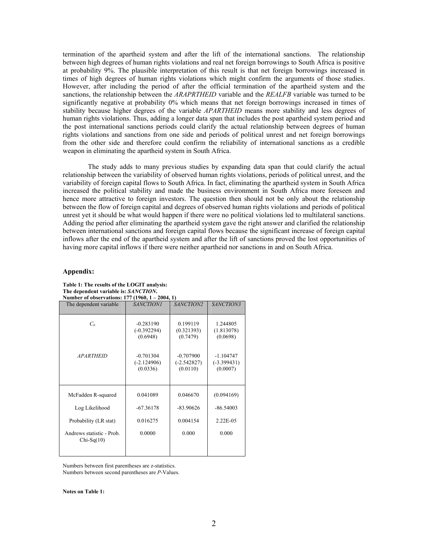termination of the apartheid system and after the lift of the international sanctions. The relationship between high degrees of human rights violations and real net foreign borrowings to South Africa is positive at probability 9%. The plausible interpretation of this result is that net foreign borrowings increased in times of high degrees of human rights violations which might confirm the arguments of those studies. However, after including the period of after the official termination of the apartheid system and the sanctions, the relationship between the *ARAPRTHEID* variable and the *REALFB* variable was turned to be significantly negative at probability 0% which means that net foreign borrowings increased in times of stability because higher degrees of the variable *APARTHEID* means more stability and less degrees of human rights violations. Thus, adding a longer data span that includes the post apartheid system period and the post international sanctions periods could clarify the actual relationship between degrees of human rights violations and sanctions from one side and periods of political unrest and net foreign borrowings from the other side and therefore could confirm the reliability of international sanctions as a credible weapon in eliminating the apartheid system in South Africa.

The study adds to many previous studies by expanding data span that could clarify the actual relationship between the variability of observed human rights violations, periods of political unrest, and the variability of foreign capital flows to South Africa. In fact, eliminating the apartheid system in South Africa increased the political stability and made the business environment in South Africa more foreseen and hence more attractive to foreign investors. The question then should not be only about the relationship between the flow of foreign capital and degrees of observed human rights violations and periods of political unrest yet it should be what would happen if there were no political violations led to multilateral sanctions. Adding the period after eliminating the apartheid system gave the right answer and clarified the relationship between international sanctions and foreign capital flows because the significant increase of foreign capital inflows after the end of the apartheid system and after the lift of sanctions proved the lost opportunities of having more capital inflows if there were neither apartheid nor sanctions in and on South Africa.

## **Appendix:**

| Number of observations: 177 (1960, 1 – 2004, 1) |                                          |                                          |                                          |  |  |  |  |
|-------------------------------------------------|------------------------------------------|------------------------------------------|------------------------------------------|--|--|--|--|
| The dependent variable                          | <b>SANCTION1</b>                         | SANCTION2                                | SANCTION3                                |  |  |  |  |
|                                                 |                                          |                                          |                                          |  |  |  |  |
| C <sub>0</sub>                                  | $-0.283190$<br>$(-0.392294)$<br>(0.6948) | 0.199119<br>(0.321393)<br>(0.7479)       | 1.244805<br>(1.813078)<br>(0.0698)       |  |  |  |  |
| <b>APARTHEID</b>                                | $-0.701304$<br>$(-2.124906)$<br>(0.0336) | $-0.707900$<br>$(-2.542827)$<br>(0.0110) | $-1.104747$<br>$(-3.399431)$<br>(0.0007) |  |  |  |  |
| McFadden R-squared                              | 0.041089                                 | 0.046670                                 | (0.094169)                               |  |  |  |  |
| Log Likelihood                                  | $-67.36178$                              | $-83.90626$                              | $-86.54003$                              |  |  |  |  |
| Probability (LR stat)                           | 0.016275                                 | 0.004154                                 | 2.22E-05                                 |  |  |  |  |
| Andrews statistic - Prob.<br>$Chi-Sq(10)$       | 0.0000                                   | 0.000                                    | 0.000                                    |  |  |  |  |

**Table 1: The results of the LOGIT analysis: The dependent variable is:** *SANCTION***.** 

Numbers between first parentheses are z-statistics. Numbers between second parentheses are *P*-Values.

**Notes on Table 1:**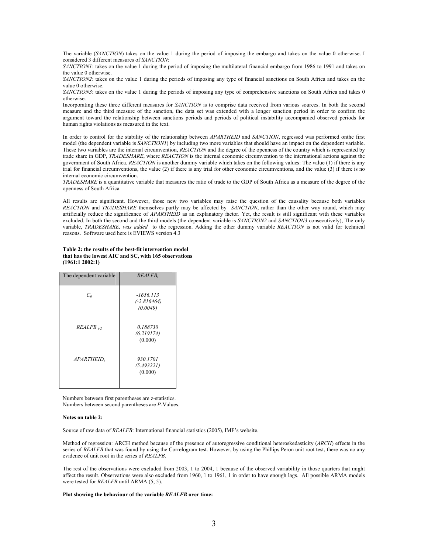The variable (*SANCTION*) takes on the value 1 during the period of imposing the embargo and takes on the value 0 otherwise. I considered 3 different measures of *SANCTION*:

*SANCTION1*: takes on the value 1 during the period of imposing the multilateral financial embargo from 1986 to 1991 and takes on the value 0 otherwise.

*SANCTION2*: takes on the value 1 during the periods of imposing any type of financial sanctions on South Africa and takes on the value 0 otherwise.

*SANCTION3*: takes on the value 1 during the periods of imposing any type of comprehensive sanctions on South Africa and takes 0 otherwise.

Incorporating these three different measures for *SANCTION* is to comprise data received from various sources. In both the second measure and the third measure of the sanction, the data set was extended with a longer sanction period in order to confirm the argument toward the relationship between sanctions periods and periods of political instability accompanied observed periods for human rights violations as measured in the text.

In order to control for the stability of the relationship between *APARTHEID* and *SANCTION*, regressed was performed onthe first model (the dependent variable is *SANCTION1*) by including two more variables that should have an impact on the dependent variable. These two variables are the internal circumvention, *REACTION* and the degree of the openness of the country which is represented by trade share in GDP, *TRADESHARE*, where *REACTION* is the internal economic circumvention to the international actions against the government of South Africa. *REACTION* is another dummy variable which takes on the following values: The value (1) if there is any trial for financial circumventions, the value (2) if there is any trial for other economic circumventions, and the value (3) if there is no internal economic circumvention.

*TRADESHARE* is a quantitative variable that measures the ratio of trade to the GDP of South Africa as a measure of the degree of the openness of South Africa.

All results are significant. However, those new two variables may raise the question of the causality because both variables *REACTION* and *TRADESHARE* themselves partly may be affected by *SANCTION*, rather than the other way round, which may artificially reduce the significance of *APARTHEID* as an explanatory factor. Yet, the result is still significant with these variables excluded. In both the second and the third models (the dependent variable is *SANCTION2* and *SANCTION3* consecutively), The only variable, *TRADESHARE, was added* to the regression. Adding the other dummy variable *REACTION* is not valid for technical reasons. Software used here is EVIEWS version 4.3

**Table 2: the results of the best-fit intervention model that has the lowest AIC and SC, with 165 observations (1961:1 2002:1)** 

| The dependent variable | REALFB,                                  |
|------------------------|------------------------------------------|
| $C_{\alpha}$           | $-1656.113$<br>$(-2.816464)$<br>(0.0049) |
| $REALFB$ $\rightarrow$ | 0.188730<br>(6.219174)<br>(0.000)        |
| APARTHEID,             | 930.1701<br>(5.493221)<br>(0.000)        |

Numbers between first parentheses are z-statistics. Numbers between second parentheses are *P*-Values.

#### **Notes on table 2:**

Source of raw data of *REALFB*: International financial statistics (2005), IMF's website.

Method of regression: ARCH method because of the presence of autoregressive conditional heteroskedasticity (*ARCH*) effects in the series of REALFB that was found by using the Correlogram test. However, by using the Phillips Peron unit root test, there was no any evidence of unit root in the series of *REALFB*.

The rest of the observations were excluded from 2003, 1 to 2004, 1 because of the observed variability in those quarters that might affect the result. Observations were also excluded from 1960, 1 to 1961, 1 in order to have enough lags. All possible ARMA models were tested for *REALFB* until ARMA (5, 5).

#### **Plot showing the behaviour of the variable** *REALFB* **over time:**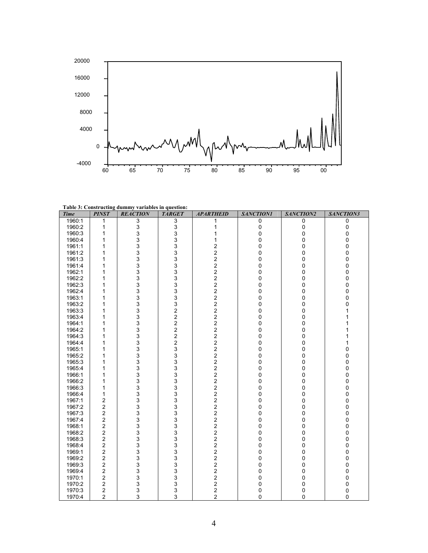

**Table 3: Constructing dummy variables in question:** 

| <b>Time</b> | <b>PINST</b>            | <b>REACTION</b> | <b>TARGET</b>                                   | <b>APARTHEID</b>                           | <b>SANCTION1</b> | SANCTION2    | SANCTION3   |
|-------------|-------------------------|-----------------|-------------------------------------------------|--------------------------------------------|------------------|--------------|-------------|
| 1960:1      | 1                       | $\overline{3}$  | 3                                               | 1                                          | 0                | 0            | 0           |
| 1960:2      | 1                       | 3               | $\frac{3}{3}$                                   | 1                                          | $\pmb{0}$        | 0            | 0           |
| 1960:3      | 1                       | 3               |                                                 | 1                                          | $\pmb{0}$        | 0            | $\mathbf 0$ |
| 1960:4      | 1                       | 3               |                                                 | 1                                          | 0                | 0            | 0           |
| 1961:1      | 1                       | 3               |                                                 | 2                                          | $\Omega$         | $\Omega$     | 0           |
| 1961:2      | 1                       | 3               |                                                 | $\overline{\mathbf{c}}$                    | 0                | 0            | 0           |
| 1961:3      | 1                       | 3               |                                                 | $\overline{\mathbf{c}}$                    | 0                | 0            | 0           |
| 1961:4      | 1                       | 3               |                                                 | $\overline{\mathbf{c}}$                    | $\Omega$         | $\Omega$     | 0           |
| 1962:1      | 1                       | 3               |                                                 | $\frac{2}{2}$                              | 0                | 0            | $\pmb{0}$   |
| 1962:2      | 1                       | 3               |                                                 |                                            | 0                | 0            | 0           |
| 1962:3      | 1                       | 3               |                                                 | $\overline{\mathbf{c}}$                    | 0                | 0            | 0           |
| 1962:4      | 1                       | 3               |                                                 | $\overline{\mathbf{c}}$                    | 0                | 0            | 0           |
| 1963:1      | 1                       | 3               |                                                 | $\overline{\mathbf{c}}$                    | 0                | 0            | 0           |
| 1963:2      | 1                       | 3               |                                                 | $\overline{\mathbf{c}}$                    | 0                | 0            | 0           |
| 1963:3      | 1                       | 3               |                                                 | $\overline{\mathbf{c}}$                    | 0                | 0            | 1           |
| 1963:4      | 1                       | 3               |                                                 | $\overline{\mathbf{c}}$                    | 0                | 0            | 1           |
| 1964:1      | 1                       | 3               |                                                 | $\overline{\mathbf{c}}$                    | 0                | 0            |             |
| 1964:2      | 1                       | 3               |                                                 | $\overline{\mathbf{c}}$                    | 0                | 0            | 1           |
| 1964:3      | 1                       | 3               |                                                 | $\overline{\mathbf{c}}$                    | 0                | 0            | 1           |
| 1964:4      | 1                       | 3               |                                                 | 2                                          | 0                | 0            | 1           |
| 1965:1      | 1                       | 3               |                                                 | $\overline{c}$                             | 0                | 0            | 0           |
| 1965:2      | 1                       | 3               |                                                 | $\overline{\mathbf{c}}$                    | 0                | 0            | 0           |
| 1965:3      | 1                       | 3               |                                                 | 2                                          | 0                | 0            | 0           |
| 1965:4      | 1                       | 3               |                                                 | $\overline{\mathbf{c}}$                    | 0                | 0            | 0           |
| 1966:1      | 1                       | 3               |                                                 | 2                                          | 0                | 0            | 0           |
| 1966:2      | 1                       | 3               |                                                 | $\overline{2}$                             | 0                | 0            | 0           |
| 1966:3      | 1                       | 3               |                                                 | $\overline{c}$                             | 0                | 0            | 0           |
| 1966:4      | 1                       | 3               |                                                 | $\overline{\mathbf{c}}$                    | 0                | 0            | 0           |
| 1967:1      | 2                       | 3               |                                                 | 2                                          | 0                | 0            | 0           |
| 1967:2      | 2                       | 3               |                                                 | $\overline{\mathbf{c}}$                    | 0                | 0            | 0           |
| 1967:3      | 2                       | 3               |                                                 | $\overline{\mathbf{c}}$                    | 0                | 0            | 0           |
| 1967:4      | $\overline{c}$          | 3               |                                                 | $\overline{2}$                             | 0                | 0            | $\pmb{0}$   |
| 1968:1      | 2                       | 3               | 333333                                          | $\overline{\mathbf{c}}$                    | 0                | 0            | 0           |
| 1968:2      | 2                       | 3               |                                                 | $\overline{\mathbf{c}}$                    | 0                | 0            | 0           |
| 1968:3      | 2                       | 3               |                                                 | $\overline{\mathbf{c}}$                    | 0                | 0            | $\pmb{0}$   |
| 1968:4      | 2                       | 3               |                                                 |                                            | 0                | 0            | 0           |
| 1969:1      | 2                       | 3               |                                                 | $\begin{array}{c} 2 \\ 2 \\ 2 \end{array}$ | 0                | 0            | 0           |
| 1969:2      | 2                       | 3               |                                                 |                                            | 0                | 0            | 0           |
| 1969:3      | 2                       | 3               | $\begin{array}{c} 3 \\ 3 \\ 3 \\ 3 \end{array}$ | $\frac{2}{2}$                              | 0                | 0            | 0           |
| 1969:4      | $\overline{\mathbf{c}}$ | 3               |                                                 |                                            | 0                | 0            | 0           |
| 1970:1      | $\overline{\mathbf{c}}$ | 3               |                                                 | $\overline{\mathbf{c}}$                    | $\pmb{0}$        | $\pmb{0}$    | $\pmb{0}$   |
| 1970:2      | 2                       | 3               |                                                 | $\frac{2}{2}$                              | 0                | 0            | 0           |
| 1970:3      | $\boldsymbol{2}$        | 3               |                                                 |                                            | 0                | 0            | 0           |
| 1970:4      | $\overline{2}$          | 3               | 3                                               | $\overline{2}$                             | $\mathbf 0$      | $\mathbf{0}$ | $\mathbf 0$ |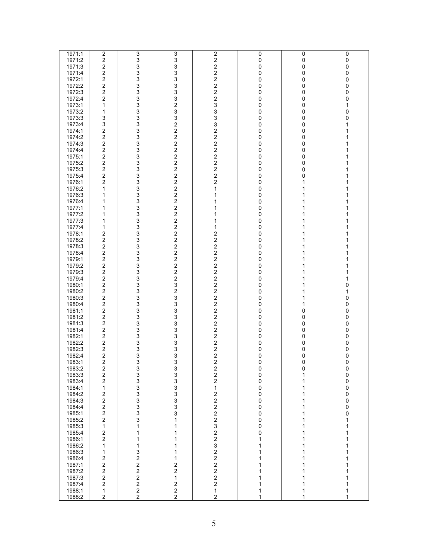| 1971:1 | $\overline{\mathbf{c}}$ | 3                       | 3                       | $\overline{2}$          | $\pmb{0}$ | 0 | 0           |
|--------|-------------------------|-------------------------|-------------------------|-------------------------|-----------|---|-------------|
| 1971:2 | $\overline{\mathbf{c}}$ | 3                       | 3                       | $\overline{\mathbf{c}}$ | 0         | 0 | $\pmb{0}$   |
| 1971:3 | $\overline{\mathbf{c}}$ | 3                       | 3                       | $\boldsymbol{2}$        | 0         | 0 | $\mathsf 0$ |
| 1971:4 | $\overline{c}$          | 3                       |                         | $\overline{c}$          | 0         | 0 | $\pmb{0}$   |
| 1972:1 | $\overline{\mathbf{c}}$ | 3                       | $\frac{3}{3}$           | $\overline{c}$          | 0         | 0 | 0           |
| 1972:2 | $\overline{c}$          | 3                       |                         | $\overline{c}$          | 0         | 0 | $\pmb{0}$   |
|        | $\overline{c}$          | 3                       | $\frac{3}{3}$           | $\overline{c}$          |           |   | $\mathbf 0$ |
| 1972:3 |                         |                         |                         |                         | 0         | 0 |             |
| 1972:4 | $\overline{c}$          | 3                       | $\frac{3}{2}$           | $\overline{\mathbf{c}}$ | 0         | 0 | $\pmb{0}$   |
| 1973:1 | 1                       | 3                       |                         | 3                       | 0         | 0 | 1           |
| 1973:2 | 1                       | 3                       | 3                       | 3                       | 0         | 0 | $\pmb{0}$   |
| 1973:3 | 3                       | 3                       | 3                       | $\mathsf 3$             | 0         | 0 | $\pmb{0}$   |
| 1973:4 | 3                       | 3                       | $\overline{\mathbf{c}}$ | 3                       | 0         | 0 | 1           |
| 1974:1 | $\overline{c}$          | 3                       | $\overline{c}$          | $\boldsymbol{2}$        | 0         | 0 | 1           |
| 1974:2 | $\overline{\mathbf{c}}$ | 3                       | $\overline{\mathbf{c}}$ | $\boldsymbol{2}$        | 0         | 0 | 1           |
| 1974:3 | $\overline{c}$          | 3                       | $\boldsymbol{2}$        | $\mathbf 2$             | 0         | 0 | 1           |
| 1974:4 | $\overline{\mathbf{c}}$ | 3                       | $\overline{c}$          | $\overline{c}$          | 0         | 0 | 1           |
| 1975:1 | $\overline{\mathbf{c}}$ | 3                       |                         | $\mathbf 2$             | 0         | 0 | 1           |
| 1975:2 | $\overline{\mathbf{c}}$ | 3                       | $\frac{2}{2}$           | $\overline{\mathbf{c}}$ | 0         | 0 | 1           |
|        | $\overline{\mathbf{c}}$ |                         | $\overline{\mathbf{c}}$ | $\overline{c}$          |           |   | 1           |
| 1975:3 |                         | 3                       | $\overline{c}$          | $\overline{\mathbf{c}}$ | 0         | 0 |             |
| 1975:4 | $\overline{c}$          | 3                       |                         |                         | 0         | 0 | 1           |
| 1976:1 | $\overline{c}$          | 3                       | $\boldsymbol{2}$        | $\boldsymbol{2}$        | 0         | 1 | 1           |
| 1976:2 | 1                       | 3                       | $\mathbf 2$             | 1                       | 0         | 1 | 1           |
| 1976:3 | 1                       | 3                       | $\frac{2}{2}$           | 1                       | 0         | 1 | 1           |
| 1976:4 | 1                       | 3                       |                         | 1                       | 0         | 1 | 1           |
| 1977:1 | 1                       | 3                       |                         | 1                       | 0         | 1 | 1           |
| 1977:2 | 1                       | 3                       | $\frac{2}{2}$           | 1                       | 0         | 1 | 1           |
| 1977:3 | 1                       | 3                       | $\overline{\mathbf{c}}$ | 1                       | 0         | 1 | 1           |
| 1977:4 | 1                       | 3                       | $\overline{c}$          | $\mathbf{1}$            | 0         | 1 | 1           |
| 1978:1 | $\overline{c}$          | 3                       | $\overline{\mathbf{c}}$ | $\boldsymbol{2}$        | 0         | 1 | 1           |
| 1978:2 | $\overline{c}$          | 3                       | $\overline{\mathbf{c}}$ | $\mathbf 2$             | 0         | 1 | 1           |
| 1978:3 | $\overline{c}$          | 3                       | $\overline{c}$          | $\overline{\mathbf{c}}$ | 0         | 1 | 1           |
| 1978:4 | $\overline{\mathbf{c}}$ | 3                       |                         | $\overline{c}$          | 0         | 1 | 1           |
|        | $\overline{\mathbf{c}}$ |                         | $\frac{2}{2}$           |                         |           |   | 1           |
| 1979:1 |                         | 3                       |                         | $\overline{\mathbf{c}}$ | 0         | 1 |             |
| 1979:2 | $\overline{c}$          | 3                       | $\overline{\mathbf{c}}$ | $\overline{c}$          | 0         | 1 | 1           |
| 1979:3 | $\overline{\mathbf{c}}$ | 3                       | $\overline{c}$          | $\overline{c}$          | 0         | 1 | 1           |
| 1979:4 | $\overline{c}$          | 3                       | $\overline{\mathbf{c}}$ | $\mathbf 2$             | 0         | 1 | 1           |
| 1980:1 | $\overline{c}$          | 3                       | 3                       | $\overline{c}$          | 0         | 1 | $\pmb{0}$   |
| 1980:2 | $\overline{c}$          | 3                       | $\frac{2}{3}$           | $\overline{\mathbf{c}}$ | 0         | 1 | 1           |
| 1980:3 | $\overline{\mathbf{c}}$ | 3                       |                         | $\overline{c}$          | 0         | 1 | $\pmb{0}$   |
| 1980:4 | $\overline{\mathbf{c}}$ | 3                       | 3                       | $\mathbf 2$             | 0         | 1 | $\pmb{0}$   |
| 1981:1 | $\overline{\mathbf{c}}$ | 3                       | 3                       | $\overline{c}$          | 0         | 0 | $\pmb{0}$   |
| 1981:2 | $\overline{c}$          | 3                       |                         | $\boldsymbol{2}$        | 0         | 0 | $\pmb{0}$   |
| 1981:3 | $\overline{2}$          | 3                       |                         | $\overline{c}$          | 0         | 0 | $\pmb{0}$   |
| 1981:4 | $\overline{\mathbf{c}}$ | 3                       |                         | $\boldsymbol{2}$        | 0         | 0 | $\pmb{0}$   |
| 1982:1 | $\overline{c}$          | 3                       |                         | $\overline{\mathbf{c}}$ | 0         | 0 | $\pmb{0}$   |
| 1982:2 | $\overline{\mathbf{c}}$ | 3                       |                         |                         | 0         | 0 | $\pmb{0}$   |
|        |                         |                         |                         | $\frac{2}{2}$           |           |   |             |
| 1982:3 | $\overline{\mathbf{c}}$ | 3                       | 33333333                |                         | 0         | 0 | 0           |
| 1982:4 | $\overline{\mathbf{c}}$ | 3                       |                         | $\overline{c}$          | 0         | 0 | $\mathsf 0$ |
| 1983:1 | $\overline{c}$          | 3                       | 3                       | $\overline{2}$          | 0         | 0 | 0           |
| 1983:2 | 2                       | 3                       | 3                       | $\overline{\mathbf{c}}$ | 0         | 0 | $\pmb{0}$   |
| 1983:3 | $\overline{c}$          | 3                       | 3                       | $\mathbf{2}$            | 0         | 1 | 0           |
| 1983:4 | $\overline{c}$          | $\mathfrak{S}$          | 3                       | $\mathbf 2$             | 0         | 1 | 0           |
| 1984:1 | 1                       | 3                       | $\frac{3}{3}$           | 1                       | 0         | 1 | $\pmb{0}$   |
| 1984:2 | $\overline{\mathbf{c}}$ | $\overline{3}$          |                         | $\boldsymbol{2}$        | 0         | 1 | $\pmb{0}$   |
| 1984:3 | $\overline{\mathbf{c}}$ | 3                       | 3<br>3                  | $\mathbf 2$             | 0         | 1 | $\pmb{0}$   |
| 1984:4 | $\overline{\mathbf{c}}$ | $\overline{3}$          |                         | $\overline{c}$          | 0         | 1 | $\pmb{0}$   |
| 1985:1 | $\overline{\mathbf{c}}$ | 3                       | 3                       | $\boldsymbol{2}$        | 0         | 1 | $\pmb{0}$   |
| 1985:2 | $\overline{c}$          | 3                       | 1                       | $\overline{\mathbf{c}}$ | 0         | 1 | 1           |
| 1985:3 | 1                       | 1                       | 1                       | $\mathsf 3$             | 0         | 1 | 1           |
| 1985:4 | $\overline{\mathbf{c}}$ | 1                       | 1                       | $\overline{\mathbf{c}}$ | 0         | 1 | 1           |
| 1986:1 | $\overline{c}$          | 1                       | 1                       | $\overline{\mathbf{c}}$ | 1         | 1 | 1           |
| 1986:2 | 1                       | 1                       | 1                       | $\mathsf 3$             | 1         | 1 | 1           |
| 1986:3 |                         |                         | 1                       |                         | 1         |   |             |
|        | 1                       | 3                       |                         | $\mathbf 2$             |           | 1 | 1           |
| 1986:4 | $\overline{\mathbf{c}}$ | 2                       | 1                       | $\overline{c}$          | 1         | 1 | 1           |
| 1987:1 | $\overline{\mathbf{c}}$ | $\boldsymbol{2}$        | 2                       | $\overline{c}$          | 1         | 1 | 1           |
| 1987:2 | $\overline{c}$          | $\overline{\mathbf{c}}$ | $\overline{\mathbf{c}}$ | $\mathbf 2$             | 1         | 1 | 1           |
| 1987:3 | $\overline{\mathbf{c}}$ | $\mathbf 2$             | $\mathbf{1}$            | $\overline{c}$          | 1         | 1 | 1           |
| 1987:4 | $\overline{\mathbf{c}}$ | $\mathbf 2$             | $\frac{2}{2}$           | $\boldsymbol{2}$        | 1         | 1 | 1           |
| 1988:1 | 1                       | $\mathbf 2$             |                         | 1                       | 1         | 1 | 1           |
| 1988:2 | $\overline{2}$          | $\overline{c}$          | $\overline{a}$          | $\overline{c}$          | 1         | 1 | 1           |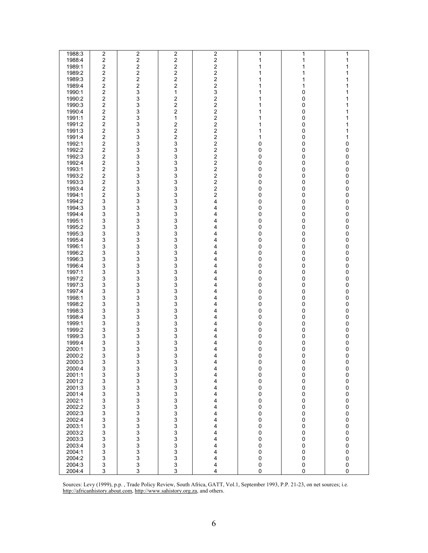| 1988:3 | $\overline{2}$          | $\overline{c}$          | $\overline{2}$                             | $\overline{c}$          | 1                               | 1           | 1           |
|--------|-------------------------|-------------------------|--------------------------------------------|-------------------------|---------------------------------|-------------|-------------|
|        |                         |                         |                                            |                         |                                 |             |             |
| 1988:4 | $\overline{c}$          | $\overline{c}$          | $\boldsymbol{2}$                           | $\overline{\mathbf{c}}$ | 1                               | 1           | 1           |
| 1989:1 | $\overline{\mathbf{c}}$ | 2                       | $\boldsymbol{2}$                           | 2                       | 1                               | 1           | 1           |
|        |                         |                         |                                            |                         |                                 |             |             |
| 1989:2 | $\overline{c}$          | $\overline{c}$          | $\overline{\mathbf{c}}$                    | $\overline{\mathbf{c}}$ | 1                               | 1           | 1           |
| 1989:3 | $\overline{\mathbf{c}}$ | $\overline{\mathbf{c}}$ | $\overline{c}$                             | $\overline{\mathbf{c}}$ | 1                               | 1           | 1           |
|        |                         |                         |                                            |                         |                                 |             |             |
| 1989:4 | $\overline{c}$          | $\overline{\mathbf{c}}$ | $\boldsymbol{2}$                           | $\overline{\mathbf{c}}$ | $\mathbf{1}$                    | 1           | 1           |
| 1990:1 | 2                       | 3                       | $\mathbf{1}$                               | 3                       | 1                               | 0           | 1           |
|        |                         |                         |                                            |                         |                                 |             |             |
| 1990:2 | $\overline{c}$          | $\frac{3}{3}$           | $\overline{\mathbf{c}}$                    | $\overline{\mathbf{c}}$ | $\mathbf{1}$                    | 0           | 1           |
| 1990:3 | $\overline{c}$          |                         | $\overline{c}$                             | $\overline{\mathbf{c}}$ | 1                               | 0           | 1           |
|        |                         |                         |                                            |                         |                                 |             |             |
| 1990:4 | $\overline{c}$          | 3                       | $\overline{\mathbf{c}}$                    | 2                       | 1                               | 0           | 1           |
| 1991:1 | $\overline{\mathbf{c}}$ | 3                       | 1                                          | 2                       | 1                               | 0           | 1           |
|        |                         |                         |                                            |                         |                                 |             |             |
| 1991:2 | $\overline{c}$          | 3                       | $\overline{\mathbf{c}}$                    | $\overline{\mathbf{c}}$ | 1                               | 0           | 1           |
| 1991:3 | $\overline{c}$          | 3                       | $\overline{c}$                             | 2                       | 1                               | 0           | 1           |
| 1991:4 | $\overline{\mathbf{c}}$ | 3                       | $\overline{c}$                             | $\overline{\mathbf{c}}$ | 1                               | 0           | 1           |
|        |                         |                         |                                            |                         |                                 |             |             |
| 1992:1 | $\overline{c}$          | 3                       | 3                                          | $\overline{\mathbf{c}}$ | 0                               | 0           | 0           |
| 1992:2 | 2                       | 3                       | 3                                          | $\overline{\mathbf{c}}$ | 0                               | 0           | 0           |
|        |                         |                         |                                            |                         |                                 |             |             |
| 1992:3 | 2                       | 3                       | 3                                          | $\overline{\mathbf{c}}$ | 0                               | 0           | 0           |
| 1992:4 | $\overline{\mathbf{c}}$ | $\mathfrak{S}$          | 3                                          | 2                       | 0                               | 0           | 0           |
|        |                         |                         |                                            |                         |                                 |             |             |
| 1993:1 | $\overline{c}$          | 3                       | 3                                          | $\overline{\mathbf{c}}$ | 0                               | 0           | 0           |
| 1993:2 | $\overline{c}$          | 3                       | 3                                          | $\overline{\mathbf{c}}$ | 0                               | 0           | 0           |
|        |                         |                         |                                            |                         |                                 |             |             |
| 1993:3 | $\overline{c}$          | $\frac{3}{3}$           | 3                                          | $\overline{\mathbf{c}}$ | 0                               | 0           | 0           |
| 1993:4 | 2                       |                         | 3                                          | $\overline{\mathbf{c}}$ | $\pmb{0}$                       | 0           | 0           |
|        |                         |                         |                                            |                         |                                 |             |             |
| 1994:1 | 2                       | $\frac{3}{3}$           | 3                                          | $\overline{\mathbf{c}}$ | 0                               | 0           | 0           |
| 1994:2 | 3                       |                         | 3                                          | 4                       | 0                               | 0           | 0           |
| 1994:3 |                         |                         | 3                                          |                         |                                 |             |             |
|        | 3                       | 3                       |                                            | 4                       | 0                               | 0           | 0           |
| 1994:4 | 3                       | 3                       | 3                                          | 4                       | 0                               | 0           | 0           |
| 1995:1 | 3                       | 3                       | 3                                          | 4                       | 0                               | 0           | 0           |
|        |                         |                         |                                            |                         |                                 |             |             |
| 1995:2 | 3                       | 3                       | 3                                          | 4                       | 0                               | 0           | 0           |
| 1995:3 | 3                       | 3                       | 3                                          | 4                       | $\mathbf 0$                     | 0           | $\pmb{0}$   |
|        |                         |                         |                                            |                         |                                 |             |             |
| 1995:4 | 3                       | 3                       | 3                                          | 4                       | 0                               | 0           | 0           |
| 1996:1 | 3                       | 3                       | 3                                          | 4                       | 0                               | 0           | 0           |
|        |                         |                         |                                            |                         |                                 |             |             |
| 1996:2 | 3                       | 3                       | 3                                          | 4                       | 0                               | 0           | 0           |
| 1996:3 | 3                       | $\mathsf 3$             | 3                                          | 4                       | 0                               | 0           | 0           |
|        |                         |                         |                                            |                         |                                 |             |             |
| 1996:4 | 3                       | 3                       | 3                                          | 4                       | 0                               | 0           | 0           |
| 1997:1 | 3                       | 3                       | 3                                          | 4                       | 0                               | 0           | 0           |
|        |                         |                         |                                            |                         |                                 |             |             |
| 1997:2 | 3                       | 3<br>3                  | 3                                          | 4                       | $\pmb{0}$                       | 0           | 0           |
| 1997:3 | 3                       |                         | 3                                          | 4                       | $\pmb{0}$                       | 0           | 0           |
|        |                         |                         |                                            |                         |                                 |             |             |
| 1997:4 | 3                       |                         | 3                                          | 4                       | 0                               | 0           | 0           |
| 1998:1 | 3                       | $\frac{3}{3}$           | 3                                          | 4                       | 0                               | 0           | 0           |
| 1998:2 |                         | 3                       | 3                                          | 4                       |                                 |             |             |
|        | 3                       |                         |                                            |                         | 0                               | 0           | 0           |
| 1998:3 | 3                       | 3                       | 3                                          | 4                       | 0                               | 0           | 0           |
| 1998:4 | 3                       | 3                       | 3                                          | 4                       | 0                               | 0           | 0           |
|        |                         |                         |                                            |                         |                                 |             |             |
| 1999:1 | 3                       | 3                       | 3                                          | 4                       | 0                               | 0           | 0           |
| 1999:2 | 3                       | 3                       | 3                                          | 4                       | 0                               | 0           | 0           |
|        |                         |                         |                                            |                         |                                 |             |             |
| 1999:3 | 3                       | 3                       | 3                                          | 4                       | 0                               | 0           | 0           |
| 1999:4 | 3                       | 3                       | 3                                          | 4                       | 0                               | 0           | 0           |
| 2000:1 | 3                       |                         |                                            |                         |                                 |             |             |
|        |                         | 3                       | 3                                          | 4                       | 0                               | 0           | 0           |
| 2000:2 | 3                       | 3                       | 3                                          | 4                       | 0                               | 0           | 0           |
| 2000:3 | 3                       | 3                       | 3                                          | 4                       | 0                               | 0           | 0           |
|        |                         |                         |                                            |                         |                                 |             |             |
| 2000:4 | 3                       | 3                       | 3                                          | 4                       | $\mathbf{0}$                    | 0           | 0           |
| 2001:1 | 3                       |                         | 3                                          | 4                       |                                 | 0           | 0           |
|        |                         |                         |                                            |                         | $_0^0$                          |             |             |
| 2001:2 | 3                       |                         | 3                                          | 4                       |                                 | 0           | $\pmb{0}$   |
| 2001:3 | 3                       |                         | $\frac{3}{3}$                              | 4                       | $_0^0$                          | 0           | $\pmb{0}$   |
|        |                         |                         |                                            | 4                       |                                 |             |             |
| 2001:4 | 3                       |                         |                                            |                         |                                 | 0           | $\pmb{0}$   |
| 2002:1 | 3                       |                         |                                            | 4                       |                                 | 0           | $\pmb{0}$   |
| 2002:2 | 3                       |                         | $\begin{array}{c} 3 \\ 3 \\ 3 \end{array}$ | 4                       | $\begin{matrix}0\0\end{matrix}$ | 0           | $\pmb{0}$   |
|        |                         |                         |                                            |                         |                                 |             |             |
| 2002:3 | 3                       |                         |                                            | 4                       | $\mathbf 0$                     | 0           | $\mathsf 0$ |
| 2002:4 | 3                       |                         |                                            | 4                       | $\mathbf 0$                     | 0           | $\mathbf 0$ |
|        |                         |                         |                                            |                         |                                 |             |             |
| 2003:1 | 3                       |                         | $\mathbf{3}$                               | 4                       | $\mathbf 0$                     | 0           | $\mathsf 0$ |
| 2003:2 | 3                       |                         | 3                                          | 4                       | $\mathbf 0$                     | 0           | $\pmb{0}$   |
|        |                         |                         |                                            |                         |                                 |             |             |
| 2003:3 | $\mathsf 3$             |                         | 3                                          | 4                       | $\mathbf 0$                     | 0           | $\pmb{0}$   |
| 2003:4 | 3                       |                         |                                            | 4                       | $\mathbf{0}$                    | 0           | $\pmb{0}$   |
| 2004:1 |                         | $\frac{3}{3}$           | $\frac{3}{3}$                              |                         |                                 |             |             |
|        | 3                       |                         |                                            | 4                       | $\mathbf 0$                     | 0           | $\pmb{0}$   |
| 2004:2 | 3                       | 3                       | 3                                          | 4                       | $\mathbf 0$                     | 0           | $\mathsf 0$ |
| 2004:3 | 3                       | 3                       | $\mathbf 3$                                | 4                       | 0                               | $\mathsf 0$ | $\mathbf 0$ |
|        |                         |                         |                                            |                         |                                 |             |             |
| 2004:4 | 3                       | 3                       | 3                                          | 4                       | 0                               | 0           | 0           |

Sources: Levy (1999), p.p. , Trade Policy Review, South Africa, GATT, Vol.1, September 1993, P.P. 21-23, on net sources; i.e. http://africanhistory.about.com, http://www.sahistory.org.za, and others.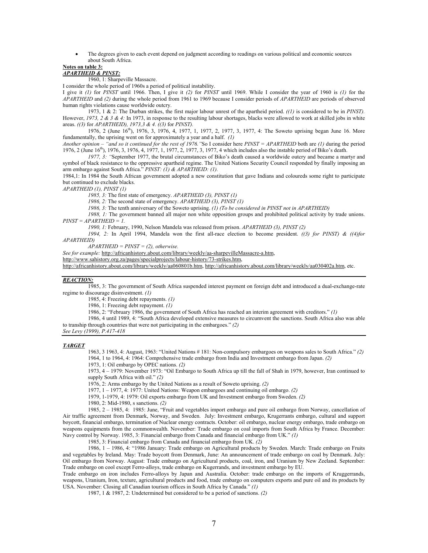• The degrees given to each event depend on judgment according to readings on various political and economic sources about South Africa.

#### **Notes on table 3:** *APARTHEID & PINST:*

1960, 1: Sharpeville Massacre.

I consider the whole period of 1960s a period of political instability.

I give it *(1)* for *PINST* until 1966. Then, I give it *(2)* for *PINST* until 1969. While I consider the year of 1960 is *(1)* for the *APARTHEID* and *(2)* during the whole period from 1961 to 1969 because I consider periods of *APARTHEID* are periods of observed human rights violations cause worldwide outcry.

1973, 1 & 2: The Durban strikes, the first major labour unrest of the apartheid period. *((1)* is considered to be in *PINST).* However, *1973, 2 & 3 & 4:* In 1973, in response to the resulting labour shortages, blacks were allowed to work at skilled jobs in white areas. *((3)* for *APARTHEID), 1973,3 & 4. ((3)* for *PINST).* 

1976, 2 (June 16th), 1976, 3, 1976, 4, 1977, 1, 1977, 2, 1977, 3, 1977, 4: The Soweto uprising began June 16. More fundamentally, the uprising went on for approximately a year and a half. *(1)* 

*Another opinion – "and so it continued for the rest of 1976."*So I consider here *PINST = APARTHEID* both are *(1)* during the period 1976, 2 (June 16th), 1976, 3, 1976, 4, 1977, 1, 1977, 2, 1977, 3, 1977, 4 which includes also the instable period of Biko's death.

*1977, 3: "*September 1977, the brutal circumstances of Biko's death caused a worldwide outcry and became a martyr and symbol of black resistance to the oppressive apartheid regime. The United Nations Security Council responded by finally imposing an arm embargo against South Africa." *PINST: (1) & APARTHEID: (1).* 

1984,1: In 1984 the South African government adopted a new constitution that gave Indians and coloureds some right to participate but continued to exclude blacks.

*APARTHEID (1), PINST (1)* 

*1985, 3:* The first state of emergency. *APARTHEID (3), PINST (1)* 

*1986, 2:* The second state of emergency. *APARTHEID (3), PINST (1)*

*1986, 3:* The tenth anniversary of the Soweto uprising. *(1) (To be considered in PINST not in APARTHEID)*

*1988, 1:* The government banned all major non white opposition groups and prohibited political activity by trade unions. *PINST = APARTHEID = 1.* 

*1990, 1:* February, 1990, Nelson Mandela was released from prison. *APARTHEID (3), PINST (2)*

*1994, 2:* In April 1994, Mandela won the first all-race election to become president. *((3) for PINST) & ((4)for APARTHEID)* 

*APARTHEID = PINST = (2), otherwise.* 

*See for example:* http://africanhistory.about.com/library/weekly/aa-sharpevilleMassacre-a.htm,

http://www.sahistory.org.za/pages/specialprojects/labour-history/73-strikes.htm,

http://africanhistory.about.com/library/weekly/aa060801b.htm, http://africanhistory.about.com/library/weekly/aa030402a.htm, etc.

### *REACTION:*

1985, 3: The government of South Africa suspended interest payment on foreign debt and introduced a dual-exchange-rate regime to discourage disinvestment. *(1)*

1985, 4: Freezing debt repayments. *(1)*

1986, 1: Freezing debt repayment. *(1)*

1986, 2: "February 1986, the government of South Africa has reached an interim agreement with creditors." *(1)*

1986, 4 until 1989, 4: "South Africa developed extensive measures to circumvent the sanctions. South Africa also was able to tranship through countries that were not participating in the embargoes." *(2)* 

*See Levy (1999), P.417-418* 

### *TARGET*

1963, 3 1963, 4: August, 1963: "United Nations # 181: Non-compulsory embargoes on weapons sales to South Africa." *(2)* 1964, 1 to 1964, 4: 1964: Comprehensive trade embargo from India and Investment embargo from Japan. *(2)*

1973, 1: Oil embargo by OPEC nations. *(2)*

1973, 4 – 1979: November 1973: "Oil Embargo to South Africa up till the fall of Shah in 1979, however, Iran continued to supply South Africa with oil." *(2)*

1976, 2: Arms embargo by the United Nations as a result of Soweto uprising. *(2)*

1977, 1 – 1977, 4: 1977: United Nations: Weapon embargoes and continuing oil embargo. *(2)*

1979, 1-1979, 4: 1979: Oil exports embargo from UK and Investment embargo from Sweden. *(2)*

1980, 2: Mid-1980, s sanctions. *(2)* 

1985, 2 – 1985, 4: 1985: June, "Fruit and vegetables import embargo and pure oil embargo from Norway, cancellation of Air traffic agreement from Denmark, Norway, and Sweden. July: Investment embargo, Krugerrants embargo, cultural and support boycott, financial embargo, termination of Nuclear energy contracts. October: oil embargo, nuclear energy embargo, trade embargo on weapons equipments from the commonwealth. November: Trade embargo on coal imports from South Africa by France. December: Navy control by Norway. 1985, 3: Financial embargo from Canada and financial embargo from UK." *(1)*

1985, 3: Financial embargo from Canada and financial embargo from UK. *(2)* 

1986, 1 – 1986, 4: "1986 January: Trade embargo on Agricultural products by Sweden. March: Trade embargo on Fruits and vegetables by Ireland. May: Trade boycott from Denmark, June: An announcement of trade embargo on coal by Denmark. July: Oil embargo from Norway. August: Trade embargo on Agricultural products, coal, iron, and Uranium by New Zeeland. September: Trade embargo on cool except Ferro-alloys, trade embargo on Kugerrands, and investment embargo by EU.

Trade embargo on iron includes Ferro-alloys by Japan and Australia. October: trade embargo on the imports of Kruggerrands, weapons, Uranium, Iron, texture, agricultural products and food, trade embargo on computers exports and pure oil and its products by USA. November: Closing all Canadian tourism offices in South Africa by Canada." *(1)*

1987, 1 & 1987, 2: Undetermined but considered to be a period of sanctions. *(2)*